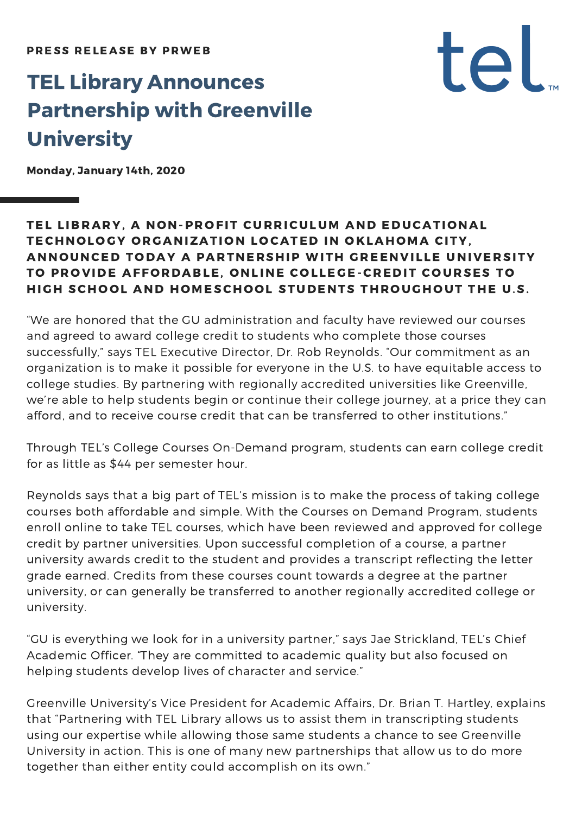# TEL Library Announces Partnership with Greenville **University**

Monday, January 14th, 2020

## TEL LIBRARY, A NON-PROFIT CURRICULUM AND EDUCATIONAL TECHNOLOGY ORGANIZATION LOCATED IN OKLAHOMA CITY, ANNOUNCED TODAY A PARTNERSHIP WITH GREENVILLE UNIVERSITY TO PROVIDE AFFORDABLE, ONLINE COLLEGE-CREDIT COURSES TO HIGH SCHOOL AND HOMESCHOOL STUDENTS THROUGHOUT THE U.S.

tel.

"We are honored that the GU administration and faculty have reviewed our courses and agreed to award college credit to students who complete those courses successfully," says TEL Executive Director, Dr. Rob Reynolds. "Our commitment as an organization is to make it possible for everyone in the U.S. to have equitable access to college studies. By partnering with regionally accredited universities like Greenville, we're able to help students begin or continue their college journey, at a price they can afford, and to receive course credit that can be transferred to other institutions."

Through TEL's College Courses On-Demand program, students can earn college credit for as little as \$44 per semester hour.

Reynolds says that a big part of TEL's mission is to make the process of taking college courses both affordable and simple. With the Courses on Demand Program, students enroll online to take TEL courses, which have been reviewed and approved for college credit by partner universities. Upon successful completion of a course, a partner university awards credit to the student and provides a transcript reflecting the letter grade earned. Credits from these courses count towards a degree at the partner university, or can generally be transferred to another regionally accredited college or university.

"GU is everything we look for in a university partner," says Jae Strickland, TEL's Chief Academic Officer. "They are committed to academic quality but also focused on helping students develop lives of character and service."

Greenville University's Vice President for Academic Affairs, Dr. Brian T. Hartley, explains that "Partnering with TEL Library allows us to assist them in transcripting students using our expertise while allowing those same students a chance to see Greenville University in action. This is one of many new partnerships that allow us to do more together than either entity could accomplish on its own."